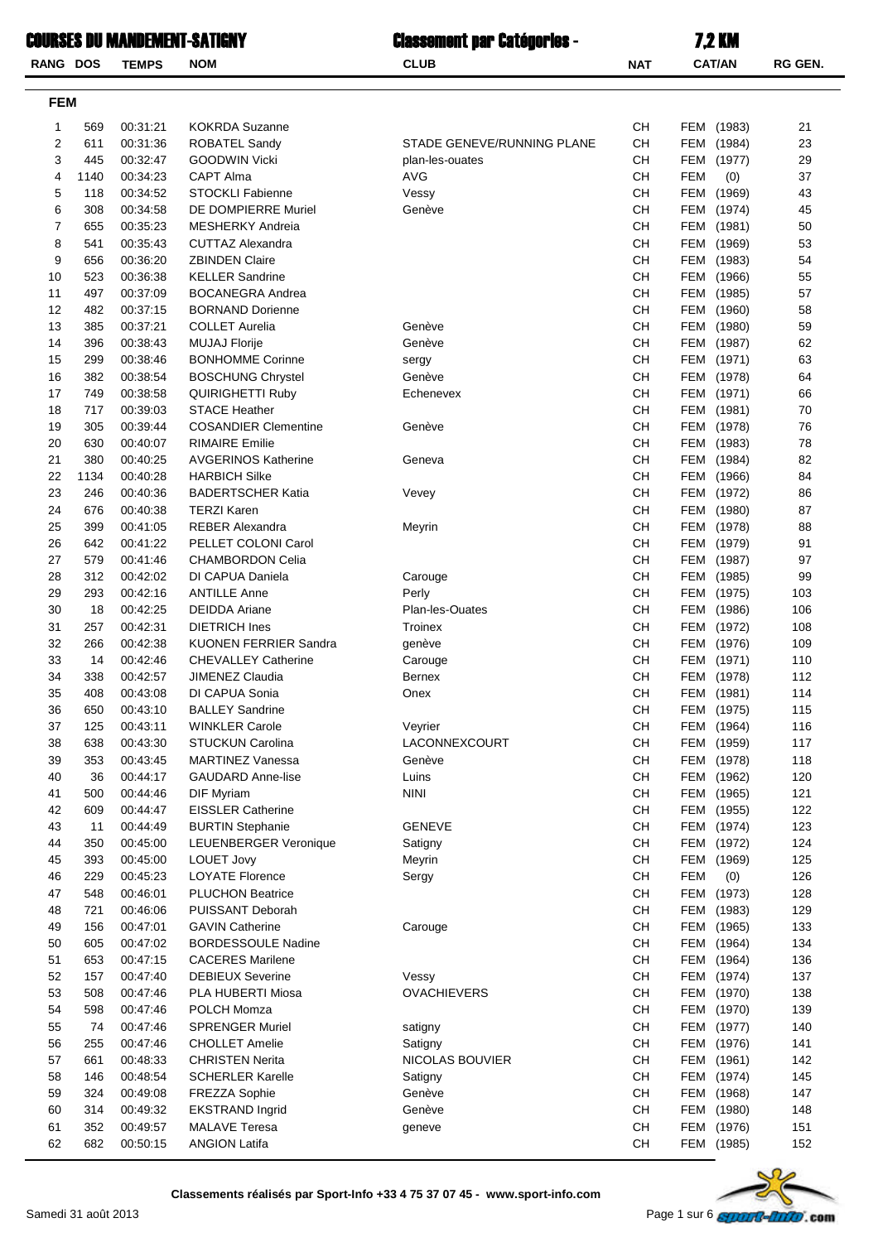|                 |      |              | Courses du Mandement-Satigny | <b>Classement par Catégories -</b> |                                          | <b>7.2 KM</b>        |         |
|-----------------|------|--------------|------------------------------|------------------------------------|------------------------------------------|----------------------|---------|
| <b>RANG DOS</b> |      | <b>TEMPS</b> | <b>NOM</b>                   | <b>CLUB</b>                        | <b>NAT</b>                               | <b>CAT/AN</b>        | RG GEN. |
| <b>FEM</b>      |      |              |                              |                                    |                                          |                      |         |
| 1               | 569  | 00:31:21     | <b>KOKRDA Suzanne</b>        |                                    | CН                                       | FEM (1983)           | 21      |
| $\overline{2}$  | 611  | 00:31:36     | <b>ROBATEL Sandy</b>         | STADE GENEVE/RUNNING PLANE         | <b>CH</b>                                | FEM<br>(1984)        | 23      |
| 3               | 445  | 00:32:47     | <b>GOODWIN Vicki</b>         | plan-les-ouates                    | CН                                       | FEM<br>(1977)        | 29      |
| 4               | 1140 | 00:34:23     | CAPT Alma                    | <b>AVG</b>                         | <b>CH</b>                                | FEM<br>(0)           | 37      |
| 5               | 118  | 00:34:52     | <b>STOCKLI Fabienne</b>      | Vessy                              | <b>CH</b>                                | FEM (1969)           | 43      |
| 6               | 308  | 00:34:58     | DE DOMPIERRE Muriel          | Genève                             | <b>CH</b>                                | FEM<br>(1974)        | 45      |
| 7               | 655  | 00:35:23     | <b>MESHERKY Andreia</b>      |                                    | <b>CH</b>                                | <b>FEM</b><br>(1981) | 50      |
| 8               | 541  | 00:35:43     | <b>CUTTAZ Alexandra</b>      |                                    | <b>CH</b>                                | <b>FEM</b><br>(1969) | 53      |
| 9               | 656  | 00:36:20     | <b>ZBINDEN Claire</b>        |                                    | <b>CH</b>                                | <b>FEM</b><br>(1983) | 54      |
| 10              | 523  | 00:36:38     | <b>KELLER Sandrine</b>       |                                    | <b>CH</b>                                | FEM<br>(1966)        | 55      |
| 11              | 497  | 00:37:09     | <b>BOCANEGRA Andrea</b>      |                                    | <b>CH</b>                                | FEM<br>(1985)        | 57      |
| 12              | 482  | 00:37:15     | <b>BORNAND Dorienne</b>      |                                    | CН                                       | FEM (1960)           | 58      |
| 13              | 385  | 00:37:21     | <b>COLLET Aurelia</b>        | Genève                             | <b>CH</b>                                | FEM (1980)           | 59      |
| 14              | 396  | 00:38:43     | <b>MUJAJ Florije</b>         | Genève                             | CН                                       | FEM (1987)           | 62      |
| 15              | 299  | 00:38:46     | <b>BONHOMME Corinne</b>      | sergy                              | <b>CH</b>                                | FEM (1971)           | 63      |
| 16              | 382  | 00:38:54     | <b>BOSCHUNG Chrystel</b>     | Genève                             | <b>CH</b>                                | <b>FEM</b><br>(1978) | 64      |
| 17              | 749  | 00:38:58     | <b>QUIRIGHETTI Ruby</b>      | Echenevex                          | <b>CH</b>                                | FEM<br>(1971)        | 66      |
| 18              | 717  | 00:39:03     | <b>STACE Heather</b>         |                                    | <b>CH</b>                                | FEM<br>(1981)        | 70      |
| 19              | 305  | 00:39:44     | <b>COSANDIER Clementine</b>  | Genève                             | <b>CH</b>                                | FEM<br>(1978)        | 76      |
| 20              | 630  | 00:40:07     | <b>RIMAIRE Emilie</b>        |                                    | <b>CH</b>                                | FEM<br>(1983)        | 78      |
| 21              | 380  | 00:40:25     | <b>AVGERINOS Katherine</b>   | Geneva                             | <b>CH</b>                                | FEM (1984)           | 82      |
| 22              | 1134 | 00:40:28     | <b>HARBICH Silke</b>         |                                    | <b>CH</b>                                | FEM (1966)           | 84      |
| 23              | 246  | 00:40:36     | <b>BADERTSCHER Katia</b>     | Vevey                              | <b>CH</b>                                | FEM (1972)           | 86      |
| 24              | 676  | 00:40:38     | <b>TERZI Karen</b>           |                                    | <b>CH</b>                                | <b>FEM</b><br>(1980) | 87      |
| 25              | 399  | 00:41:05     | <b>REBER Alexandra</b>       | Meyrin                             | <b>CH</b>                                | (1978)<br>FEM        | 88      |
| 26              | 642  | 00:41:22     | PELLET COLONI Carol          |                                    | <b>CH</b>                                | (1979)<br>FEM        | 91      |
| 27              | 579  | 00:41:46     | <b>CHAMBORDON Celia</b>      |                                    | <b>CH</b>                                | FEM (1987)           | 97      |
| 28              | 312  | 00:42:02     | DI CAPUA Daniela             | Carouge                            | <b>CH</b>                                | FEM<br>(1985)        | 99      |
| 29              | 293  | 00:42:16     | <b>ANTILLE Anne</b>          | Perly                              | CН                                       | FEM (1975)           | 103     |
| 30              | 18   | 00:42:25     | <b>DEIDDA Ariane</b>         | Plan-les-Ouates                    | CН                                       | FEM (1986)           | 106     |
| 31              | 257  | 00:42:31     | <b>DIETRICH Ines</b>         | Troinex                            | CН                                       | FEM (1972)           | 108     |
| 32              | 266  | 00:42:38     | <b>KUONEN FERRIER Sandra</b> | genève                             | <b>CH</b>                                | FEM (1976)           | 109     |
| 33              | 14   | 00:42:46     | CHEVALLEY Catherine          | Carouge                            | $\mathsf{CH}% \left( \mathcal{M}\right)$ | FEM (1971)           | 110     |
| 34              | 338  | 00:42:57     | JIMENEZ Claudia              | Bernex                             | СH                                       | FEM (1978)           | 112     |
| 35              | 408  | 00:43:08     | DI CAPUA Sonia               | Onex                               | CH                                       | FEM (1981)           | 114     |
| 36              | 650  | 00:43:10     | <b>BALLEY Sandrine</b>       |                                    | <b>CH</b>                                | FEM (1975)           | 115     |
| 37              | 125  | 00:43:11     | <b>WINKLER Carole</b>        | Veyrier                            | CH                                       | FEM (1964)           | 116     |
| 38              | 638  | 00:43:30     | STUCKUN Carolina             | LACONNEXCOURT                      | СH                                       | FEM (1959)           | 117     |
| 39              | 353  | 00:43:45     | <b>MARTINEZ Vanessa</b>      | Genève                             | CH                                       | FEM (1978)           | 118     |
| 40              | 36   | 00:44:17     | <b>GAUDARD Anne-lise</b>     | Luins                              | CH                                       | FEM (1962)           | 120     |
| 41              | 500  | 00:44:46     | DIF Myriam                   | <b>NINI</b>                        | CH                                       | FEM<br>(1965)        | 121     |
| 42              | 609  | 00:44:47     | <b>EISSLER Catherine</b>     |                                    | CH                                       | FEM<br>(1955)        | 122     |
| 43              | 11   | 00:44:49     | <b>BURTIN Stephanie</b>      | <b>GENEVE</b>                      | CH                                       | (1974)<br>FEM        | 123     |
| 44              | 350  | 00:45:00     | LEUENBERGER Veronique        | Satigny                            | CH                                       | FEM (1972)           | 124     |
| 45              | 393  | 00:45:00     | <b>LOUET Jovy</b>            | Meyrin                             | CH                                       | FEM<br>(1969)        | 125     |
| 46              | 229  | 00:45:23     | <b>LOYATE Florence</b>       | Sergy                              | CH                                       | <b>FEM</b><br>(0)    | 126     |
| 47              | 548  | 00:46:01     | <b>PLUCHON Beatrice</b>      |                                    | CH                                       | FEM (1973)           | 128     |

| 62<br>682 | 00:50:15          | ANGION Latifa                                                              | CН | FEM | (1985)                                  | 152 |
|-----------|-------------------|----------------------------------------------------------------------------|----|-----|-----------------------------------------|-----|
|           |                   | Classements réalisés par Sport-Info +33 4 75 37 07 45 - www.sport-info.com |    |     |                                         |     |
|           | nedi 31 août 2013 |                                                                            |    |     | Page 1 sur 6 <b>STITUTE-LITTO</b> . com |     |

48 721 00:46:06 PUISSANT Deborah 129FEM (1983)CH 49 156 00:47:01 GAVIN Catherine Carouge Carouge CH FEM (1965) 133 50 605 00:47:02 BORDESSOULE Nadine 134 134 51 653 00:47:15 CACERES Marilene 136FEM (1964)CH 52 157 00:47:40 DEBIEUX Severine Vessy Nessy CH FEM (1974) 137 53 508 00:47:46 PLA HUBERTI Miosa OVACHIEVERS 138FEM (1970)CH 54 598 00:47:46 POLCH Momza 139 and 200 and 200 and 200 and 200 and 200 and 200 and 200 and 200 and 200 and 20 55 74 00:47:46 SPRENGER Muriel satigny satigny 140 CH FEM (1977) 140 56 255 00:47:46 CHOLLET Amelie 141 Satigny 141 Satigny 141 57 661 00:48:33 CHRISTEN Nerita NICOLAS BOUVIER CH FEM (1961) 142 58 146 00:48:54 SCHERLER Karelle Satigny Satigny CH FEM (1974) 145 59 324 00:49:08 FREZZA Sophie 147 Genève 147 Genève 147 60 314 00:49:32 EKSTRAND Ingrid Cenève 148 Genève 148 CH FEM (1980) 148 61 352 00:49:57 MALAVE Teresa geneve 151FEM (1976)CH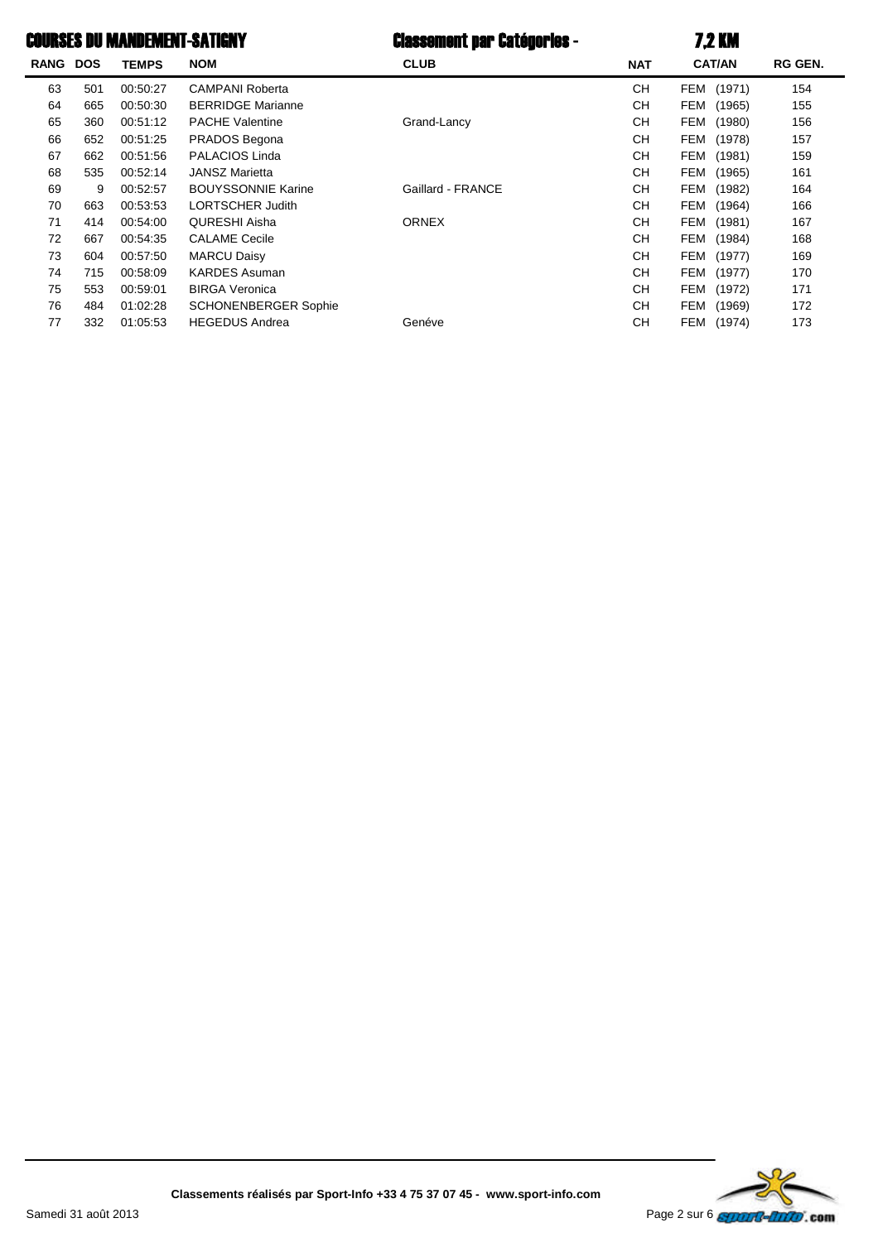# COURSES DU MANDEMENT-SATIGNY Classement par Catégories - 7.2 KM

| <b>RANG</b> | <b>DOS</b> | <b>TEMPS</b> | NOM                         | <b>CLUB</b>       | <b>NAT</b> | <b>CAT/AN</b> | RG GEN. |  |
|-------------|------------|--------------|-----------------------------|-------------------|------------|---------------|---------|--|
| 63          | 501        | 00:50:27     | <b>CAMPANI Roberta</b>      |                   | <b>CH</b>  | FEM (1971)    | 154     |  |
| 64          | 665        | 00:50:30     | <b>BERRIDGE Marianne</b>    |                   | <b>CH</b>  | FEM (1965)    | 155     |  |
| 65          | 360        | 00:51:12     | <b>PACHE Valentine</b>      | Grand-Lancy       | <b>CH</b>  | FEM (1980)    | 156     |  |
| 66          | 652        | 00:51:25     | PRADOS Begona               |                   | <b>CH</b>  | FEM (1978)    | 157     |  |
| 67          | 662        | 00:51:56     | PALACIOS Linda              |                   | <b>CH</b>  | FEM<br>(1981) | 159     |  |
| 68          | 535        | 00:52:14     | <b>JANSZ Marietta</b>       |                   | <b>CH</b>  | FEM (1965)    | 161     |  |
| 69          | 9          | 00:52:57     | <b>BOUYSSONNIE Karine</b>   | Gaillard - FRANCE | CН         | FEM<br>(1982) | 164     |  |
| 70          | 663        | 00:53:53     | <b>LORTSCHER Judith</b>     |                   | CН         | FEM (1964)    | 166     |  |
| 71          | 414        | 00:54:00     | <b>QURESHI Aisha</b>        | <b>ORNEX</b>      | <b>CH</b>  | FEM (1981)    | 167     |  |
| 72          | 667        | 00:54:35     | <b>CALAME Cecile</b>        |                   | <b>CH</b>  | FEM<br>(1984) | 168     |  |
| 73          | 604        | 00:57:50     | <b>MARCU Daisy</b>          |                   | <b>CH</b>  | FEM<br>(1977) | 169     |  |
| 74          | 715        | 00:58:09     | <b>KARDES Asuman</b>        |                   | <b>CH</b>  | FEM (1977)    | 170     |  |
| 75          | 553        | 00:59:01     | <b>BIRGA Veronica</b>       |                   | <b>CH</b>  | FEM (1972)    | 171     |  |
| 76          | 484        | 01:02:28     | <b>SCHONENBERGER Sophie</b> |                   | СH         | FEM (1969)    | 172     |  |
| 77          | 332        | 01:05:53     | <b>HEGEDUS Andrea</b>       | Genéve            | <b>CH</b>  | FEM (1974)    | 173     |  |
|             |            |              |                             |                   |            |               |         |  |

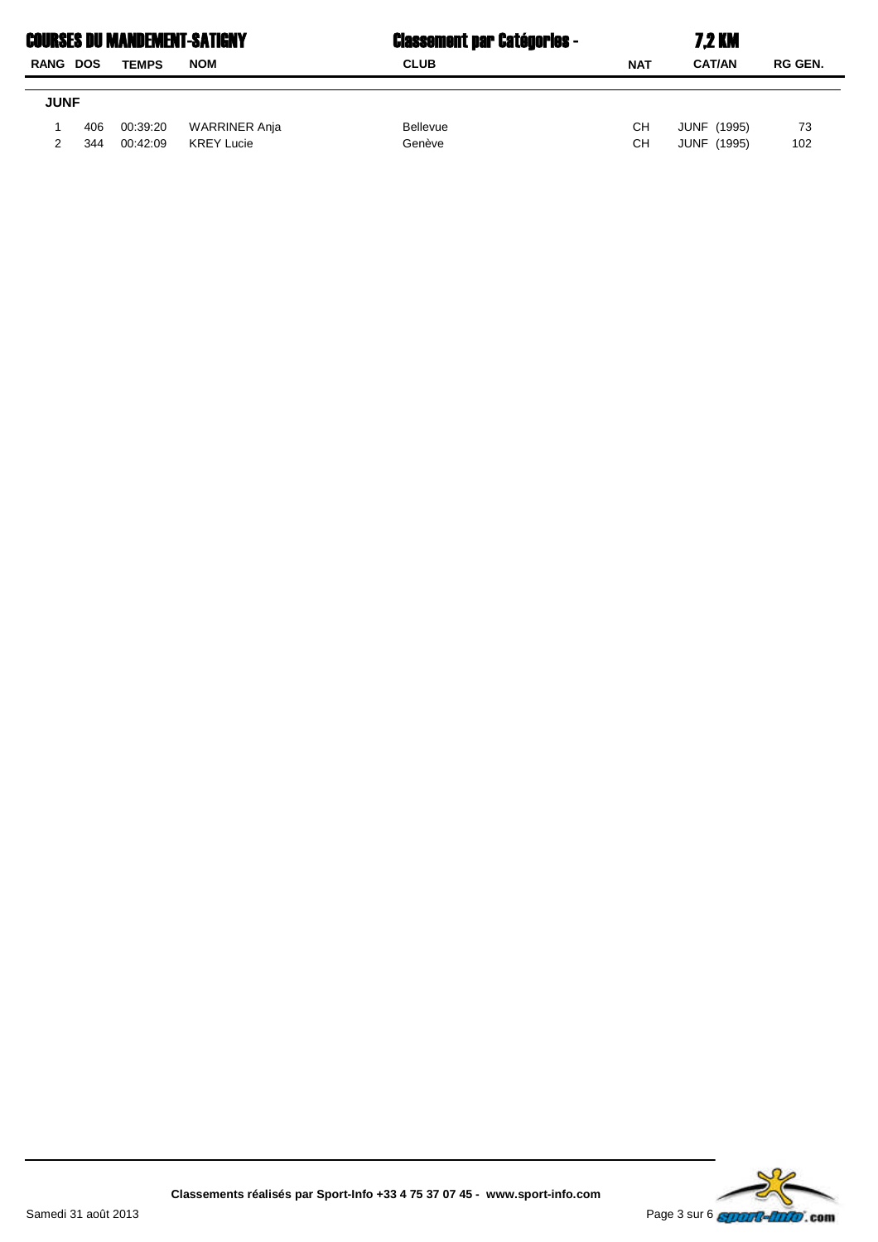| <b>COURSES DU MANDEMENT-SATIGNY</b> |     |              |                   | <b>Classement par Catégories -</b> | <b>7.2 KM</b> |                    |                |  |
|-------------------------------------|-----|--------------|-------------------|------------------------------------|---------------|--------------------|----------------|--|
| RANG DOS                            |     | <b>TEMPS</b> | <b>NOM</b>        | <b>CLUB</b>                        | <b>NAT</b>    | <b>CAT/AN</b>      | <b>RG GEN.</b> |  |
|                                     |     |              |                   |                                    |               |                    |                |  |
| <b>JUNF</b>                         |     |              |                   |                                    |               |                    |                |  |
|                                     | 406 | 00:39:20     | WARRINER Anja     | <b>Bellevue</b>                    | CН            | <b>JUNF (1995)</b> | 73             |  |
|                                     | 344 | 00:42:09     | <b>KREY Lucie</b> | Genève                             | CН            | JUNF (1995)        | 102            |  |
|                                     |     |              |                   |                                    |               |                    |                |  |

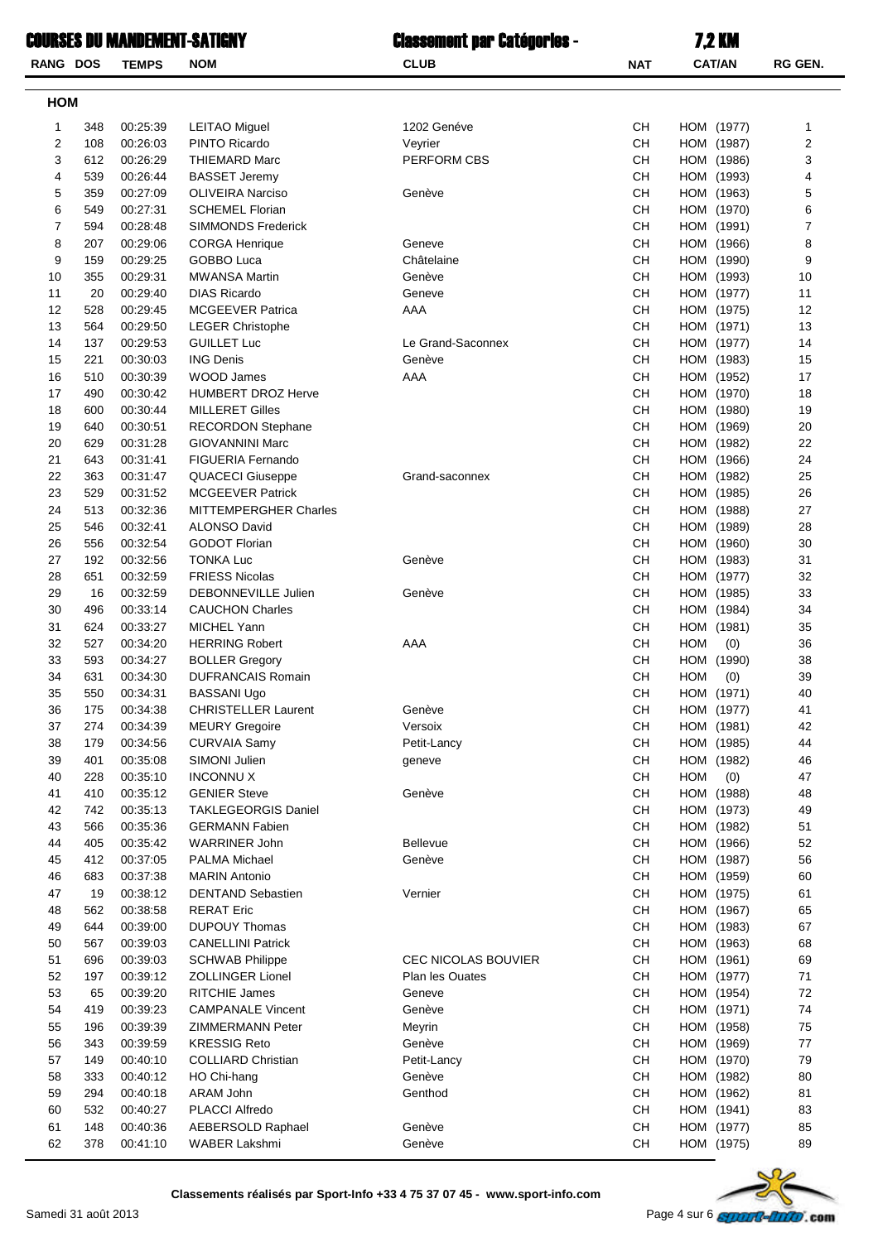|              |            | COURSES DU MANDEMENT-SATIGNY |                                               | <b>Classement par Catégories -</b> |                 | <b>7,2 KM</b>            |          |
|--------------|------------|------------------------------|-----------------------------------------------|------------------------------------|-----------------|--------------------------|----------|
| RANG DOS     |            | <b>TEMPS</b>                 | <b>NOM</b>                                    | <b>CLUB</b>                        | <b>NAT</b>      | <b>CAT/AN</b>            | RG GEN.  |
| HOM          |            |                              |                                               |                                    |                 |                          |          |
| $\mathbf{1}$ | 348        | 00:25:39                     | <b>LEITAO Miguel</b>                          | 1202 Genéve                        | <b>CH</b>       | HOM (1977)               | 1        |
| 2            | 108        | 00:26:03                     | PINTO Ricardo                                 | Veyrier                            | <b>CH</b>       | HOM (1987)               | 2        |
| 3            | 612        | 00:26:29                     | <b>THIEMARD Marc</b>                          | PERFORM CBS                        | <b>CH</b>       | HOM (1986)               | 3        |
| 4            | 539        | 00:26:44                     | <b>BASSET Jeremy</b>                          |                                    | CН              | HOM (1993)               | 4        |
| 5            | 359        | 00:27:09                     | <b>OLIVEIRA Narciso</b>                       | Genève                             | <b>CH</b>       | HOM (1963)               | 5        |
| 6            | 549        | 00:27:31                     | <b>SCHEMEL Florian</b>                        |                                    | CН              | HOM (1970)               | 6        |
| 7            | 594        | 00:28:48                     | <b>SIMMONDS Frederick</b>                     |                                    | <b>CH</b>       | HOM (1991)               | 7        |
| 8            | 207        | 00:29:06                     | <b>CORGA Henrique</b>                         | Geneve                             | CH              | HOM (1966)               | 8        |
| 9<br>10      | 159<br>355 | 00:29:25<br>00:29:31         | <b>GOBBO Luca</b><br><b>MWANSA Martin</b>     | Châtelaine<br>Genève               | <b>CH</b><br>CH | HOM (1990)<br>HOM (1993) | 9<br>10  |
| 11           | 20         | 00:29:40                     | <b>DIAS Ricardo</b>                           | Geneve                             | <b>CH</b>       | HOM (1977)               | 11       |
| 12           | 528        | 00:29:45                     | <b>MCGEEVER Patrica</b>                       | AAA                                | CН              | HOM (1975)               | 12       |
| 13           | 564        | 00:29:50                     | <b>LEGER Christophe</b>                       |                                    | CН              | HOM (1971)               | 13       |
| 14           | 137        | 00:29:53                     | <b>GUILLET Luc</b>                            | Le Grand-Saconnex                  | <b>CH</b>       | HOM (1977)               | 14       |
| 15           | 221        | 00:30:03                     | <b>ING Denis</b>                              | Genève                             | CН              | HOM (1983)               | 15       |
| 16           | 510        | 00:30:39                     | WOOD James                                    | AAA                                | CH              | HOM (1952)               | 17       |
| 17           | 490        | 00:30:42                     | <b>HUMBERT DROZ Herve</b>                     |                                    | <b>CH</b>       | HOM (1970)               | 18       |
| 18           | 600        | 00:30:44                     | <b>MILLERET Gilles</b>                        |                                    | <b>CH</b>       | HOM (1980)               | 19       |
| 19           | 640        | 00:30:51                     | <b>RECORDON Stephane</b>                      |                                    | <b>CH</b>       | HOM (1969)               | 20       |
| 20           | 629        | 00:31:28                     | <b>GIOVANNINI Marc</b>                        |                                    | CН              | HOM (1982)               | 22       |
| 21           | 643        | 00:31:41                     | <b>FIGUERIA Fernando</b>                      |                                    | CН              | HOM (1966)               | 24       |
| 22           | 363        | 00:31:47                     | <b>QUACECI Giuseppe</b>                       | Grand-saconnex                     | CН              | HOM (1982)               | 25       |
| 23           | 529        | 00:31:52                     | <b>MCGEEVER Patrick</b>                       |                                    | CН              | HOM (1985)               | 26       |
| 24           | 513        | 00:32:36                     | <b>MITTEMPERGHER Charles</b>                  |                                    | CН              | HOM (1988)               | 27       |
| 25           | 546        | 00:32:41                     | <b>ALONSO David</b>                           |                                    | CH              | HOM (1989)               | 28       |
| 26           | 556        | 00:32:54                     | <b>GODOT Florian</b>                          |                                    | <b>CH</b>       | HOM (1960)               | 30       |
| 27           | 192        | 00:32:56                     | <b>TONKA Luc</b>                              | Genève                             | CH              | HOM (1983)               | 31       |
| 28<br>29     | 651        | 00:32:59                     | <b>FRIESS Nicolas</b>                         | Genève                             | CН<br><b>CH</b> | HOM (1977)               | 32       |
| 30           | 16<br>496  | 00:32:59<br>00:33:14         | DEBONNEVILLE Julien<br><b>CAUCHON Charles</b> |                                    | CН              | HOM (1985)<br>HOM (1984) | 33<br>34 |
| 31           | 624        | 00:33:27                     | MICHEL Yann                                   |                                    | <b>CH</b>       | HOM (1981)               | 35       |
| 32           | 527        | 00:34:20                     | <b>HERRING Robert</b>                         | AAA                                | CН              | <b>HOM</b><br>(0)        | 36       |
| 33           | 593        | 00:34:27                     | <b>BOLLER Gregory</b>                         |                                    | <b>CH</b>       | HOM (1990)               | 38       |
| 34           | 631        | 00:34:30                     | <b>DUFRANCAIS Romain</b>                      |                                    | CH              | $HOM$ (0)                | 39       |
| 35           | 550        | 00:34:31                     | <b>BASSANI Ugo</b>                            |                                    | CH              | HOM (1971)               | 40       |
| 36           | 175        | 00:34:38                     | <b>CHRISTELLER Laurent</b>                    | Genève                             | CH              | HOM (1977)               | 41       |
| 37           | 274        | 00:34:39                     | <b>MEURY Gregoire</b>                         | Versoix                            | СH              | HOM (1981)               | 42       |
| 38           | 179        | 00:34:56                     | <b>CURVAIA Samy</b>                           | Petit-Lancy                        | СH              | HOM (1985)               | 44       |
| 39           | 401        | 00:35:08                     | SIMONI Julien                                 | geneve                             | CН              | HOM (1982)               | 46       |
| 40           | 228        | 00:35:10                     | <b>INCONNUX</b>                               |                                    | СH              | <b>HOM</b><br>(0)        | 47       |
| 41           | 410        | 00:35:12                     | <b>GENIER Steve</b>                           | Genève                             | СH              | HOM (1988)               | 48       |
| 42           | 742        | 00:35:13                     | <b>TAKLEGEORGIS Daniel</b>                    |                                    | CH              | HOM (1973)               | 49       |
| 43           | 566        | 00:35:36                     | <b>GERMANN Fabien</b>                         |                                    | СH              | HOM (1982)               | 51       |
| 44           | 405        | 00:35:42                     | WARRINER John                                 | Bellevue                           | CH              | HOM (1966)               | 52       |
| 45           | 412        | 00:37:05                     | <b>PALMA Michael</b>                          | Genève                             | CН              | HOM (1987)               | 56       |
| 46           | 683        | 00:37:38                     | <b>MARIN Antonio</b>                          |                                    | СH              | HOM (1959)               | 60       |
| 47<br>48     | 19<br>562  | 00:38:12<br>00:38:58         | <b>DENTAND Sebastien</b><br><b>RERAT Eric</b> | Vernier                            | CН<br>СH        | HOM (1975)<br>HOM (1967) | 61<br>65 |
| 49           | 644        | 00:39:00                     | <b>DUPOUY Thomas</b>                          |                                    | СH              | HOM (1983)               | 67       |
| 50           | 567        | 00:39:03                     | <b>CANELLINI Patrick</b>                      |                                    | СH              | HOM (1963)               | 68       |
| 51           | 696        | 00:39:03                     | <b>SCHWAB Philippe</b>                        | CEC NICOLAS BOUVIER                | СH              | HOM (1961)               | 69       |
| 52           | 197        | 00:39:12                     | <b>ZOLLINGER Lionel</b>                       | Plan les Ouates                    | СH              | HOM (1977)               | 71       |
| 53           | 65         | 00:39:20                     | RITCHIE James                                 | Geneve                             | CH              | HOM (1954)               | 72       |
| 54           | 419        | 00:39:23                     | <b>CAMPANALE Vincent</b>                      | Genève                             | СH              | HOM (1971)               | 74       |
| 55           | 196        | 00:39:39                     | <b>ZIMMERMANN Peter</b>                       | Meyrin                             | СH              | HOM (1958)               | 75       |
| 56           | 343        | 00:39:59                     | <b>KRESSIG Reto</b>                           | Genève                             | CН              | HOM (1969)               | 77       |
| 57           | 149        | 00:40:10                     | <b>COLLIARD Christian</b>                     | Petit-Lancy                        | CН              | HOM (1970)               | 79       |
| 58           | 333        | 00:40:12                     | HO Chi-hang                                   | Genève                             | СH              | HOM (1982)               | 80       |
| 59           | 294        | 00:40:18                     | ARAM John                                     | Genthod                            | CH              | HOM (1962)               | 81       |
| 60           | 532        | 00:40:27                     | <b>PLACCI Alfredo</b>                         |                                    | CН              | HOM (1941)               | 83       |
| 61           | 148        | 00:40:36                     | AEBERSOLD Raphael                             | Genève                             | <b>CH</b>       | HOM (1977)               | 85       |



62 378 00:41:10 WABER Lakshmi Genève 89HOM (1975)CH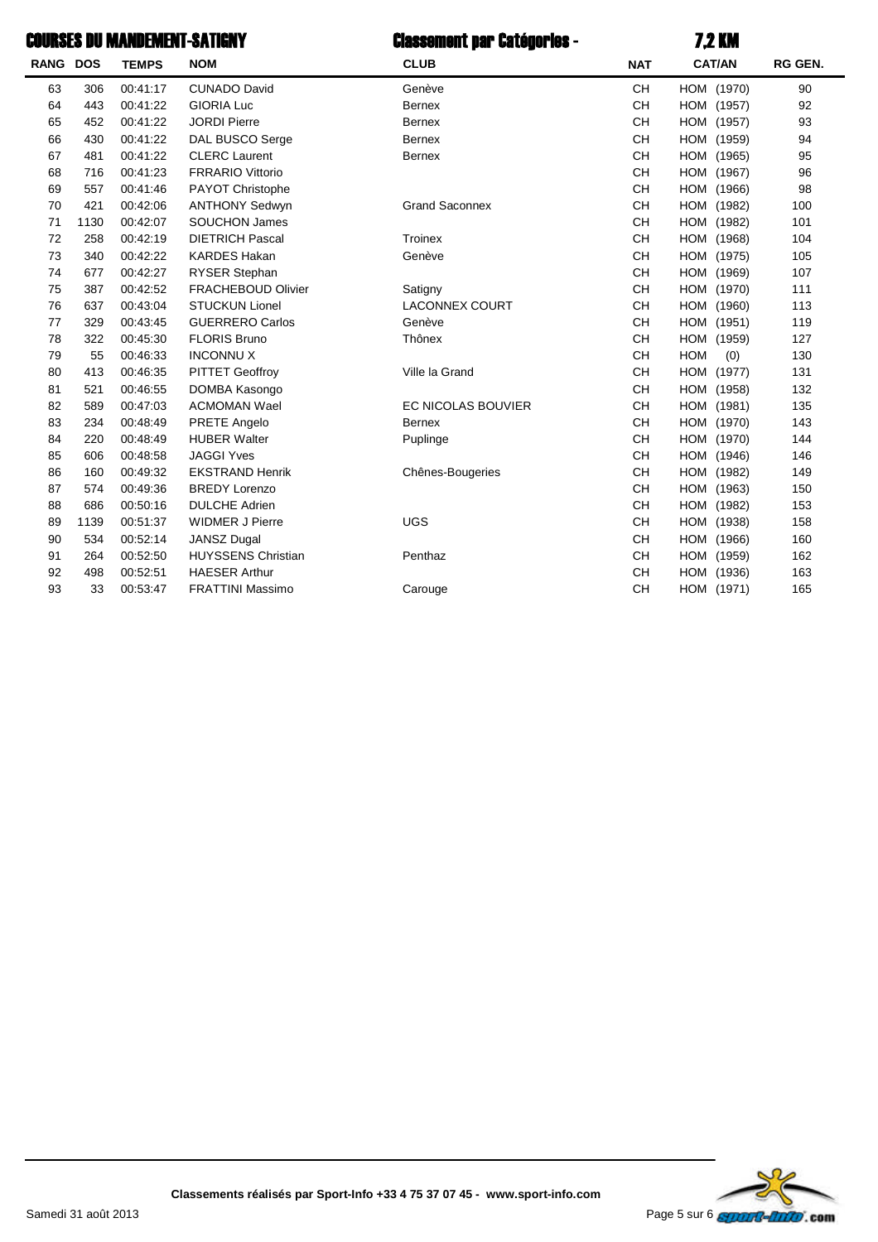## Classement par Catégories - 7,2 KMCOURSES DU MANDEMENT-SATIGNY

| <b>RANG</b> | <b>DOS</b> | <b>TEMPS</b> | <b>NOM</b>                | <b>CLUB</b>           | <b>NAT</b> | <b>CAT/AN</b>        | RG GEN. |
|-------------|------------|--------------|---------------------------|-----------------------|------------|----------------------|---------|
| 63          | 306        | 00:41:17     | <b>CUNADO David</b>       | Genève                | <b>CH</b>  | HOM (1970)           | 90      |
| 64          | 443        | 00:41:22     | <b>GIORIA Luc</b>         | <b>Bernex</b>         | <b>CH</b>  | HOM<br>(1957)        | 92      |
| 65          | 452        | 00:41:22     | <b>JORDI Pierre</b>       | <b>Bernex</b>         | <b>CH</b>  | HOM<br>(1957)        | 93      |
| 66          | 430        | 00:41:22     | DAL BUSCO Serge           | <b>Bernex</b>         | <b>CH</b>  | HOM<br>(1959)        | 94      |
| 67          | 481        | 00:41:22     | <b>CLERC</b> Laurent      | <b>Bernex</b>         | <b>CH</b>  | HOM<br>(1965)        | 95      |
| 68          | 716        | 00:41:23     | <b>FRRARIO Vittorio</b>   |                       | <b>CH</b>  | HOM<br>(1967)        | 96      |
| 69          | 557        | 00:41:46     | <b>PAYOT Christophe</b>   |                       | CН         | HOM<br>(1966)        | 98      |
| 70          | 421        | 00:42:06     | <b>ANTHONY Sedwyn</b>     | <b>Grand Saconnex</b> | <b>CH</b>  | HOM<br>(1982)        | 100     |
| 71          | 1130       | 00:42:07     | <b>SOUCHON James</b>      |                       | <b>CH</b>  | HOM<br>(1982)        | 101     |
| 72          | 258        | 00:42:19     | <b>DIETRICH Pascal</b>    | Troinex               | <b>CH</b>  | HOM<br>(1968)        | 104     |
| 73          | 340        | 00:42:22     | <b>KARDES Hakan</b>       | Genève                | <b>CH</b>  | HOM<br>(1975)        | 105     |
| 74          | 677        | 00:42:27     | <b>RYSER Stephan</b>      |                       | <b>CH</b>  | HOM<br>(1969)        | 107     |
| 75          | 387        | 00:42:52     | <b>FRACHEBOUD Olivier</b> | Satigny               | <b>CH</b>  | HOM<br>(1970)        | 111     |
| 76          | 637        | 00:43:04     | <b>STUCKUN Lionel</b>     | <b>LACONNEX COURT</b> | <b>CH</b>  | <b>HOM</b><br>(1960) | 113     |
| 77          | 329        | 00:43:45     | <b>GUERRERO Carlos</b>    | Genève                | <b>CH</b>  | HOM<br>(1951)        | 119     |
| 78          | 322        | 00:45:30     | <b>FLORIS Bruno</b>       | Thônex                | <b>CH</b>  | HOM<br>(1959)        | 127     |
| 79          | 55         | 00:46:33     | <b>INCONNUX</b>           |                       | <b>CH</b>  | <b>HOM</b><br>(0)    | 130     |
| 80          | 413        | 00:46:35     | <b>PITTET Geoffroy</b>    | Ville la Grand        | <b>CH</b>  | HOM<br>(1977)        | 131     |
| 81          | 521        | 00:46:55     | DOMBA Kasongo             |                       | <b>CH</b>  | HOM<br>(1958)        | 132     |
| 82          | 589        | 00:47:03     | <b>ACMOMAN Wael</b>       | EC NICOLAS BOUVIER    | <b>CH</b>  | <b>HOM</b><br>(1981) | 135     |
| 83          | 234        | 00:48:49     | PRETE Angelo              | <b>Bernex</b>         | <b>CH</b>  | HOM<br>(1970)        | 143     |
| 84          | 220        | 00:48:49     | <b>HUBER Walter</b>       | Puplinge              | <b>CH</b>  | (1970)<br>HOM        | 144     |
| 85          | 606        | 00:48:58     | <b>JAGGI Yves</b>         |                       | <b>CH</b>  | HOM<br>(1946)        | 146     |
| 86          | 160        | 00:49:32     | <b>EKSTRAND Henrik</b>    | Chênes-Bougeries      | <b>CH</b>  | HOM<br>(1982)        | 149     |
| 87          | 574        | 00:49:36     | <b>BREDY Lorenzo</b>      |                       | <b>CH</b>  | HOM<br>(1963)        | 150     |
| 88          | 686        | 00:50:16     | <b>DULCHE Adrien</b>      |                       | <b>CH</b>  | HOM<br>(1982)        | 153     |
| 89          | 1139       | 00:51:37     | <b>WIDMER J Pierre</b>    | <b>UGS</b>            | <b>CH</b>  | HOM<br>(1938)        | 158     |
| 90          | 534        | 00:52:14     | <b>JANSZ Dugal</b>        |                       | <b>CH</b>  | HOM<br>(1966)        | 160     |
| 91          | 264        | 00:52:50     | <b>HUYSSENS Christian</b> | Penthaz               | CН         | (1959)<br>HOM        | 162     |
| 92          | 498        | 00:52:51     | <b>HAESER Arthur</b>      |                       | CН         | HOM<br>(1936)        | 163     |
| 93          | 33         | 00:53:47     | <b>FRATTINI Massimo</b>   | Carouge               | <b>CH</b>  | HOM (1971)           | 165     |